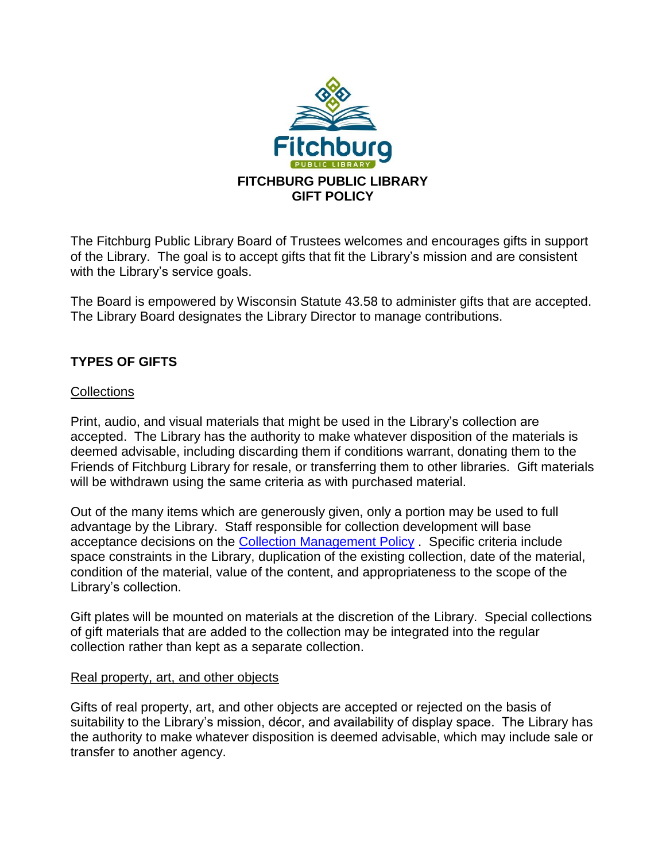

The Fitchburg Public Library Board of Trustees welcomes and encourages gifts in support of the Library. The goal is to accept gifts that fit the Library's mission and are consistent with the Library's service goals.

The Board is empowered by Wisconsin Statute 43.58 to administer gifts that are accepted. The Library Board designates the Library Director to manage contributions.

# **TYPES OF GIFTS**

# **Collections**

Print, audio, and visual materials that might be used in the Library's collection are accepted. The Library has the authority to make whatever disposition of the materials is deemed advisable, including discarding them if conditions warrant, donating them to the Friends of Fitchburg Library for resale, or transferring them to other libraries. Gift materials will be withdrawn using the same criteria as with purchased material.

Out of the many items which are generously given, only a portion may be used to full advantage by the Library. Staff responsible for collection development will base acceptance decisions on the [Collection Management Policy](http://fitchburgwi.gov/DocumentCenter/Home/View/1143) . Specific criteria include space constraints in the Library, duplication of the existing collection, date of the material, condition of the material, value of the content, and appropriateness to the scope of the Library's collection.

Gift plates will be mounted on materials at the discretion of the Library. Special collections of gift materials that are added to the collection may be integrated into the regular collection rather than kept as a separate collection.

# Real property, art, and other objects

Gifts of real property, art, and other objects are accepted or rejected on the basis of suitability to the Library's mission, décor, and availability of display space. The Library has the authority to make whatever disposition is deemed advisable, which may include sale or transfer to another agency.